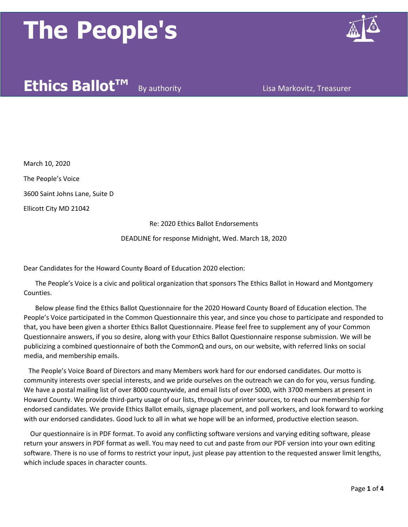

### **Ethics Ballot™** By authority **Lisa Markovitz, Treasurer**

March 10, 2020

The People's Voice

3600 Saint Johns Lane, Suite D

Ellicott City MD 21042

Re: 2020 Ethics Ballot Endorsements

DEADLINE for response Midnight, Wed. March 18, 2020

Dear Candidates for the Howard County Board of Education 2020 election:

 The People's Voice is a civic and political organization that sponsors The Ethics Ballot in Howard and Montgomery Counties.

 Below please find the Ethics Ballot Questionnaire for the 2020 Howard County Board of Education election. The People's Voice participated in the Common Questionnaire this year, and since you chose to participate and responded to that, you have been given a shorter Ethics Ballot Questionnaire. Please feel free to supplement any of your Common Questionnaire answers, if you so desire, along with your Ethics Ballot Questionnaire response submission. We will be publicizing a combined questionnaire of both the CommonQ and ours, on our website, with referred links on social media, and membership emails.

 The People's Voice Board of Directors and many Members work hard for our endorsed candidates. Our motto is community interests over special interests, and we pride ourselves on the outreach we can do for you, versus funding. We have a postal mailing list of over 8000 countywide, and email lists of over 5000, with 3700 members at present in Howard County. We provide third-party usage of our lists, through our printer sources, to reach our membership for endorsed candidates. We provide Ethics Ballot emails, signage placement, and poll workers, and look forward to working with our endorsed candidates. Good luck to all in what we hope will be an informed, productive election season.

 Our questionnaire is in PDF format. To avoid any conflicting software versions and varying editing software, please return your answers in PDF format as well. You may need to cut and paste from our PDF version into your own editing software. There is no use of forms to restrict your input, just please pay attention to the requested answer limit lengths, which include spaces in character counts.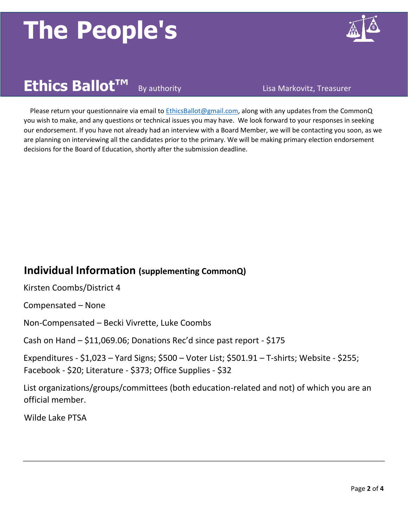

## **Ethics Ballot<sup>™</sup> By authority Community Resolution** Lisa Markovitz, Treasurer

 Please return your questionnaire via email to EthicsBallot@gmail.com, along with any updates from the CommonQ you wish to make, and any questions or technical issues you may have. We look forward to your responses in seeking our endorsement. If you have not already had an interview with a Board Member, we will be contacting you soon, as we are planning on interviewing all the candidates prior to the primary. We will be making primary election endorsement decisions for the Board of Education, shortly after the submission deadline.

#### **Individual Information (supplementing CommonQ)**

Kirsten Coombs/District 4

Compensated – None

Non-Compensated – Becki Vivrette, Luke Coombs

Cash on Hand – \$11,069.06; Donations Rec'd since past report - \$175

Expenditures - \$1,023 – Yard Signs; \$500 – Voter List; \$501.91 – T-shirts; Website - \$255; Facebook - \$20; Literature - \$373; Office Supplies - \$32

List organizations/groups/committees (both education-related and not) of which you are an official member.

Wilde Lake PTSA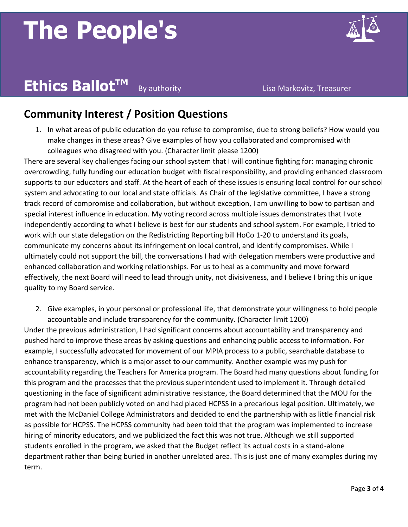

### **Ethics Ballot<sup>™</sup> By authority Community Resolution** Lisa Markovitz, Treasurer

#### **Community Interest / Position Questions**

1. In what areas of public education do you refuse to compromise, due to strong beliefs? How would you make changes in these areas? Give examples of how you collaborated and compromised with colleagues who disagreed with you. (Character limit please 1200)

There are several key challenges facing our school system that I will continue fighting for: managing chronic overcrowding, fully funding our education budget with fiscal responsibility, and providing enhanced classroom supports to our educators and staff. At the heart of each of these issues is ensuring local control for our school system and advocating to our local and state officials. As Chair of the legislative committee, I have a strong track record of compromise and collaboration, but without exception, I am unwilling to bow to partisan and special interest influence in education. My voting record across multiple issues demonstrates that I vote independently according to what I believe is best for our students and school system. For example, I tried to work with our state delegation on the Redistricting Reporting bill HoCo 1-20 to understand its goals, communicate my concerns about its infringement on local control, and identify compromises. While I ultimately could not support the bill, the conversations I had with delegation members were productive and enhanced collaboration and working relationships. For us to heal as a community and move forward effectively, the next Board will need to lead through unity, not divisiveness, and I believe I bring this unique quality to my Board service.

2. Give examples, in your personal or professional life, that demonstrate your willingness to hold people accountable and include transparency for the community. (Character limit 1200)

Under the previous administration, I had significant concerns about accountability and transparency and pushed hard to improve these areas by asking questions and enhancing public access to information. For example, I successfully advocated for movement of our MPIA process to a public, searchable database to enhance transparency, which is a major asset to our community. Another example was my push for accountability regarding the Teachers for America program. The Board had many questions about funding for this program and the processes that the previous superintendent used to implement it. Through detailed questioning in the face of significant administrative resistance, the Board determined that the MOU for the program had not been publicly voted on and had placed HCPSS in a precarious legal position. Ultimately, we met with the McDaniel College Administrators and decided to end the partnership with as little financial risk as possible for HCPSS. The HCPSS community had been told that the program was implemented to increase hiring of minority educators, and we publicized the fact this was not true. Although we still supported students enrolled in the program, we asked that the Budget reflect its actual costs in a stand-alone department rather than being buried in another unrelated area. This is just one of many examples during my term.